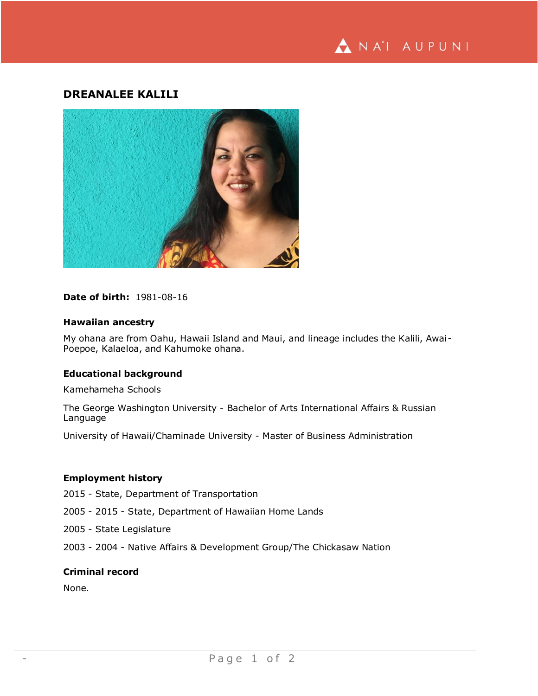

# **DREANALEE KALILI**



# **Date of birth:** 1981-08-16

## **Hawaiian ancestry**

My ohana are from Oahu, Hawaii Island and Maui, and lineage includes the Kalili, Awai-Poepoe, Kalaeloa, and Kahumoke ohana.

# **Educational background**

Kamehameha Schools

The George Washington University - Bachelor of Arts International Affairs & Russian Language

University of Hawaii/Chaminade University - Master of Business Administration

# **Employment history**

2015 - State, Department of Transportation

- 2005 2015 State, Department of Hawaiian Home Lands
- 2005 State Legislature
- 2003 2004 Native Affairs & Development Group/The Chickasaw Nation

## **Criminal record**

None.